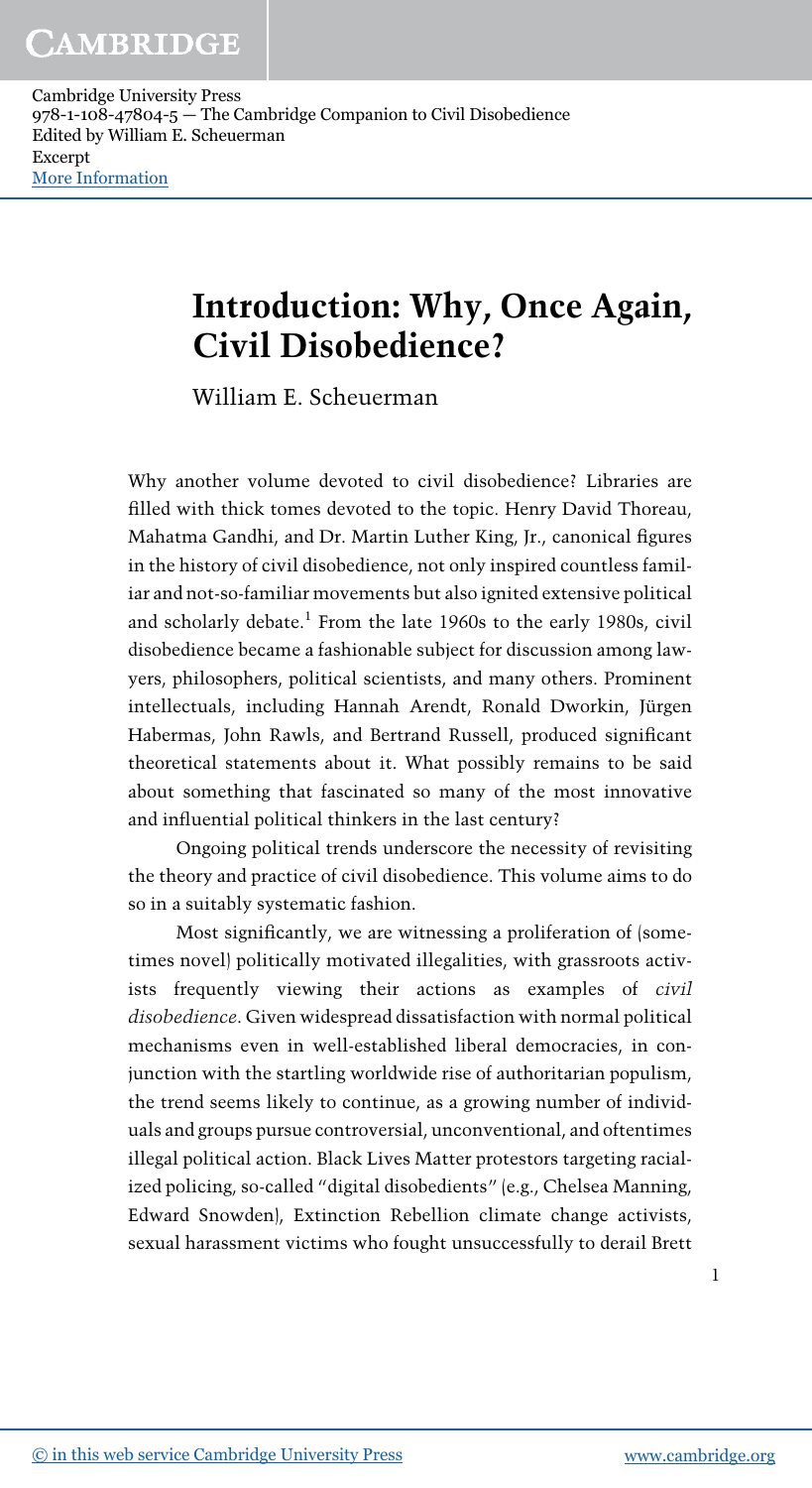# Introduction: Why, Once Again, Civil Disobedience?

William E. Scheuerman

Why another volume devoted to civil disobedience? Libraries are filled with thick tomes devoted to the topic. Henry David Thoreau, Mahatma Gandhi, and Dr. Martin Luther King, Jr., canonical figures in the history of civil disobedience, not only inspired countless familiar and not-so-familiar movements but also ignited extensive political and scholarly debate.<sup>1</sup> From the late 1960s to the early 1980s, civil disobedience became a fashionable subject for discussion among lawyers, philosophers, political scientists, and many others. Prominent intellectuals, including Hannah Arendt, Ronald Dworkin, Jürgen Habermas, John Rawls, and Bertrand Russell, produced significant theoretical statements about it. What possibly remains to be said about something that fascinated so many of the most innovative and influential political thinkers in the last century?

Ongoing political trends underscore the necessity of revisiting the theory and practice of civil disobedience. This volume aims to do so in a suitably systematic fashion.

Most significantly, we are witnessing a proliferation of (sometimes novel) politically motivated illegalities, with grassroots activists frequently viewing their actions as examples of civil disobedience. Given widespread dissatisfaction with normal political mechanisms even in well-established liberal democracies, in conjunction with the startling worldwide rise of authoritarian populism, the trend seems likely to continue, as a growing number of individuals and groups pursue controversial, unconventional, and oftentimes illegal political action. Black Lives Matter protestors targeting racialized policing, so-called "digital disobedients" (e.g., Chelsea Manning, Edward Snowden), Extinction Rebellion climate change activists, sexual harassment victims who fought unsuccessfully to derail Brett

1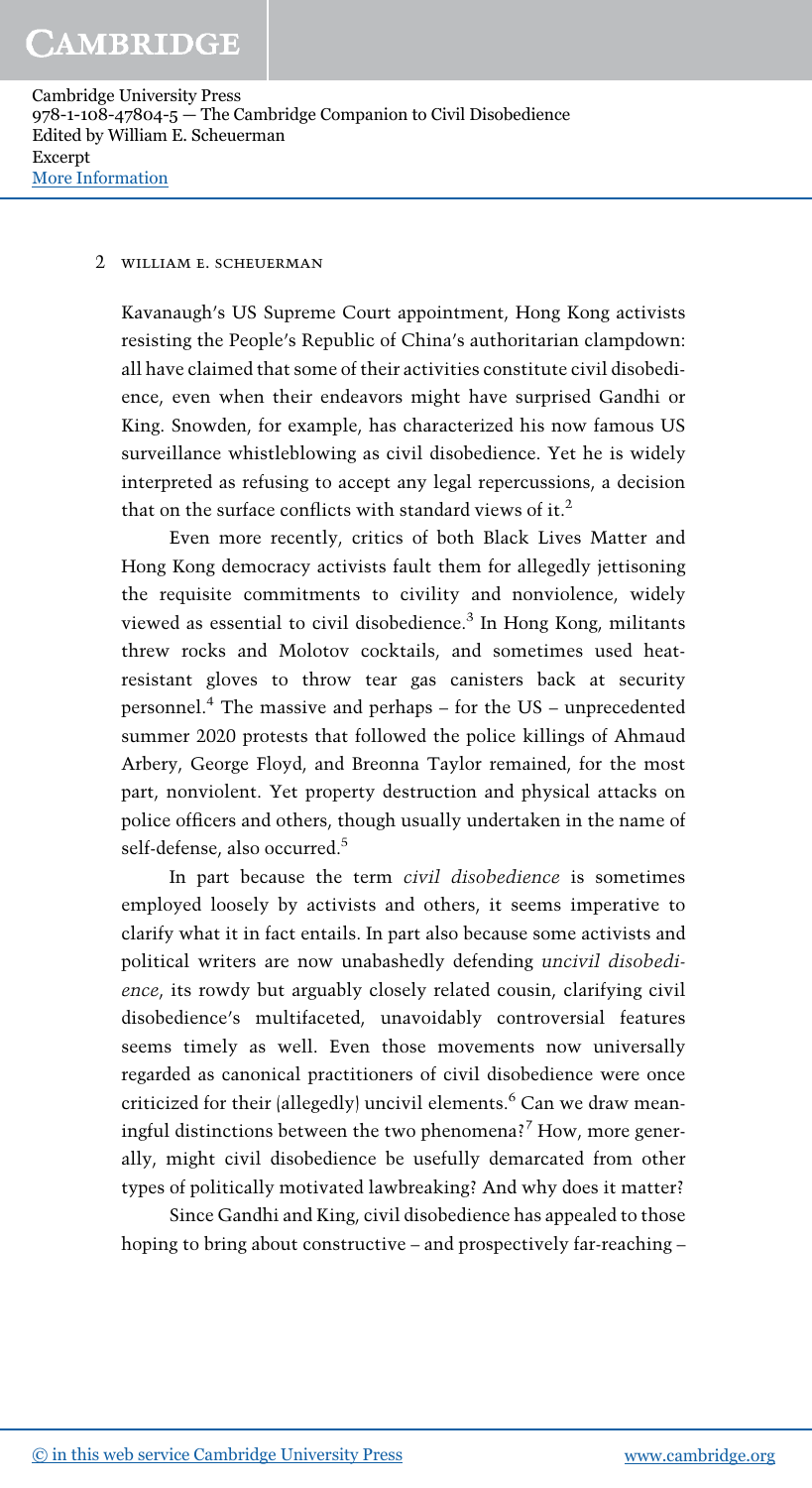#### 2 william e. scheuerman

Kavanaugh's US Supreme Court appointment, Hong Kong activists resisting the People's Republic of China's authoritarian clampdown: all have claimed that some of their activities constitute civil disobedience, even when their endeavors might have surprised Gandhi or King. Snowden, for example, has characterized his now famous US surveillance whistleblowing as civil disobedience. Yet he is widely interpreted as refusing to accept any legal repercussions, a decision that on the surface conflicts with standard views of it.<sup>2</sup>

Even more recently, critics of both Black Lives Matter and Hong Kong democracy activists fault them for allegedly jettisoning the requisite commitments to civility and nonviolence, widely viewed as essential to civil disobedience.<sup>3</sup> In Hong Kong, militants threw rocks and Molotov cocktails, and sometimes used heatresistant gloves to throw tear gas canisters back at security personnel.<sup>4</sup> The massive and perhaps – for the US – unprecedented summer 2020 protests that followed the police killings of Ahmaud Arbery, George Floyd, and Breonna Taylor remained, for the most part, nonviolent. Yet property destruction and physical attacks on police officers and others, though usually undertaken in the name of self-defense, also occurred.<sup>5</sup>

In part because the term civil disobedience is sometimes employed loosely by activists and others, it seems imperative to clarify what it in fact entails. In part also because some activists and political writers are now unabashedly defending uncivil disobedience, its rowdy but arguably closely related cousin, clarifying civil disobedience's multifaceted, unavoidably controversial features seems timely as well. Even those movements now universally regarded as canonical practitioners of civil disobedience were once criticized for their (allegedly) uncivil elements.<sup>6</sup> Can we draw meaningful distinctions between the two phenomena?<sup>7</sup> How, more generally, might civil disobedience be usefully demarcated from other types of politically motivated lawbreaking? And why does it matter?

Since Gandhi and King, civil disobedience has appealed to those hoping to bring about constructive – and prospectively far-reaching –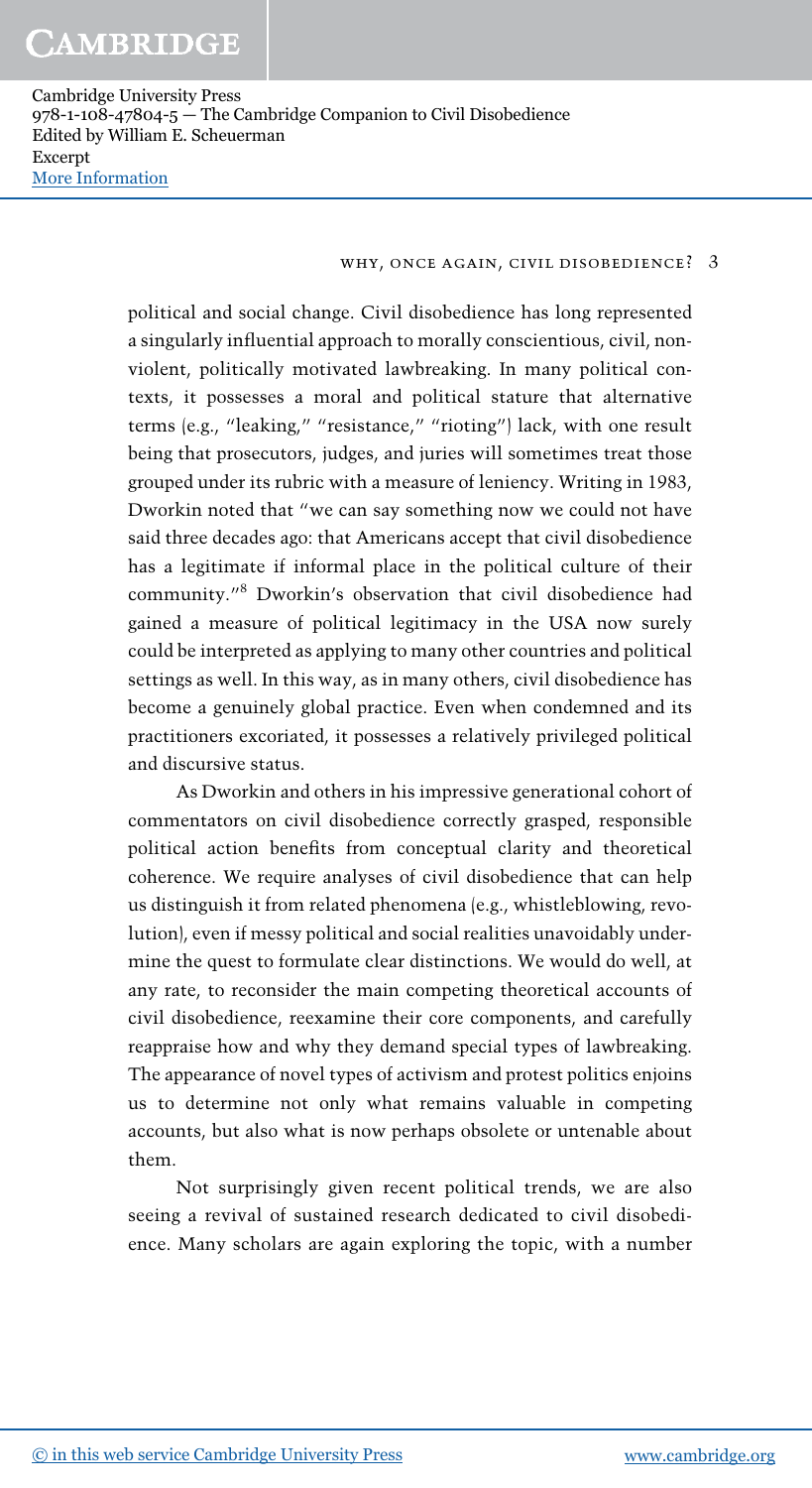#### why, once again, civil disobedience? 3

political and social change. Civil disobedience has long represented a singularly influential approach to morally conscientious, civil, nonviolent, politically motivated lawbreaking. In many political contexts, it possesses a moral and political stature that alternative terms (e.g., "leaking," "resistance," "rioting") lack, with one result being that prosecutors, judges, and juries will sometimes treat those grouped under its rubric with a measure of leniency. Writing in 1983, Dworkin noted that "we can say something now we could not have said three decades ago: that Americans accept that civil disobedience has a legitimate if informal place in the political culture of their community." <sup>8</sup> Dworkin's observation that civil disobedience had gained a measure of political legitimacy in the USA now surely could be interpreted as applying to many other countries and political settings as well. In this way, as in many others, civil disobedience has become a genuinely global practice. Even when condemned and its practitioners excoriated, it possesses a relatively privileged political and discursive status.

As Dworkin and others in his impressive generational cohort of commentators on civil disobedience correctly grasped, responsible political action benefits from conceptual clarity and theoretical coherence. We require analyses of civil disobedience that can help us distinguish it from related phenomena (e.g., whistleblowing, revolution), even if messy political and social realities unavoidably undermine the quest to formulate clear distinctions. We would do well, at any rate, to reconsider the main competing theoretical accounts of civil disobedience, reexamine their core components, and carefully reappraise how and why they demand special types of lawbreaking. The appearance of novel types of activism and protest politics enjoins us to determine not only what remains valuable in competing accounts, but also what is now perhaps obsolete or untenable about them.

Not surprisingly given recent political trends, we are also seeing a revival of sustained research dedicated to civil disobedience. Many scholars are again exploring the topic, with a number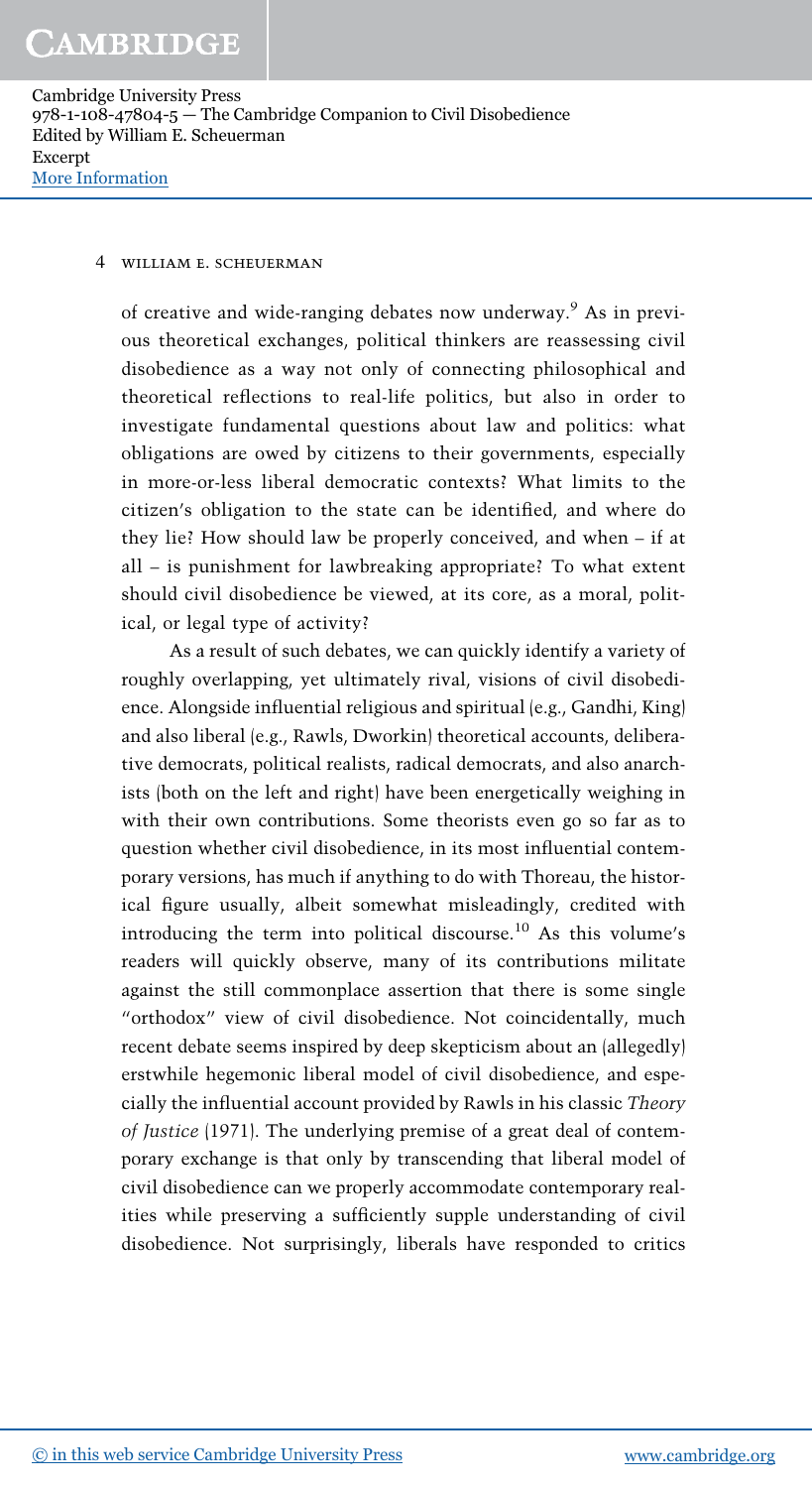#### 4 william e. scheuerman

of creative and wide-ranging debates now underway.<sup>9</sup> As in previous theoretical exchanges, political thinkers are reassessing civil disobedience as a way not only of connecting philosophical and theoretical reflections to real-life politics, but also in order to investigate fundamental questions about law and politics: what obligations are owed by citizens to their governments, especially in more-or-less liberal democratic contexts? What limits to the citizen's obligation to the state can be identified, and where do they lie? How should law be properly conceived, and when – if at all – is punishment for lawbreaking appropriate? To what extent should civil disobedience be viewed, at its core, as a moral, political, or legal type of activity?

As a result of such debates, we can quickly identify a variety of roughly overlapping, yet ultimately rival, visions of civil disobedience. Alongside influential religious and spiritual (e.g., Gandhi, King) and also liberal (e.g., Rawls, Dworkin) theoretical accounts, deliberative democrats, political realists, radical democrats, and also anarchists (both on the left and right) have been energetically weighing in with their own contributions. Some theorists even go so far as to question whether civil disobedience, in its most influential contemporary versions, has much if anything to do with Thoreau, the historical figure usually, albeit somewhat misleadingly, credited with introducing the term into political discourse.<sup>10</sup> As this volume's readers will quickly observe, many of its contributions militate against the still commonplace assertion that there is some single "orthodox" view of civil disobedience. Not coincidentally, much recent debate seems inspired by deep skepticism about an (allegedly) erstwhile hegemonic liberal model of civil disobedience, and especially the influential account provided by Rawls in his classic Theory of Justice (1971). The underlying premise of a great deal of contemporary exchange is that only by transcending that liberal model of civil disobedience can we properly accommodate contemporary realities while preserving a sufficiently supple understanding of civil disobedience. Not surprisingly, liberals have responded to critics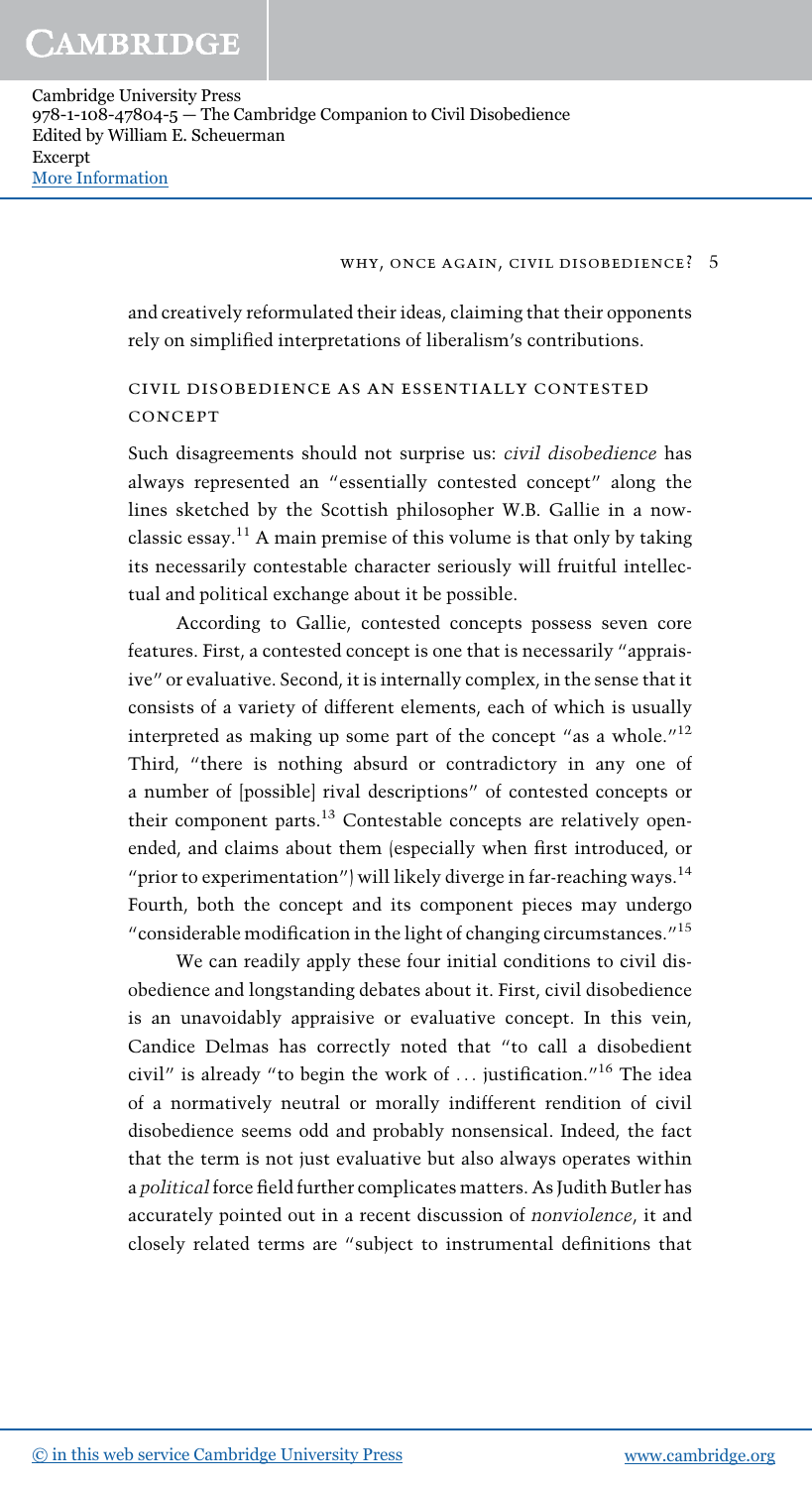#### why, once again, civil disobedience? 5

and creatively reformulated their ideas, claiming that their opponents rely on simplified interpretations of liberalism's contributions.

## civil disobedience as an essentially contested **CONCEPT**

Such disagreements should not surprise us: civil disobedience has always represented an "essentially contested concept" along the lines sketched by the Scottish philosopher W.B. Gallie in a nowclassic essay.<sup>11</sup> A main premise of this volume is that only by taking its necessarily contestable character seriously will fruitful intellectual and political exchange about it be possible.

According to Gallie, contested concepts possess seven core features. First, a contested concept is one that is necessarily "appraisive" or evaluative. Second, it is internally complex, in the sense that it consists of a variety of different elements, each of which is usually interpreted as making up some part of the concept "as a whole."<sup>12</sup> Third, "there is nothing absurd or contradictory in any one of a number of [possible] rival descriptions" of contested concepts or their component parts.<sup>13</sup> Contestable concepts are relatively openended, and claims about them (especially when first introduced, or "prior to experimentation") will likely diverge in far-reaching ways. $^{14}$ Fourth, both the concept and its component pieces may undergo "considerable modification in the light of changing circumstances." 15

We can readily apply these four initial conditions to civil disobedience and longstanding debates about it. First, civil disobedience is an unavoidably appraisive or evaluative concept. In this vein, Candice Delmas has correctly noted that "to call a disobedient civil" is already "to begin the work of ... justification." <sup>16</sup> The idea of a normatively neutral or morally indifferent rendition of civil disobedience seems odd and probably nonsensical. Indeed, the fact that the term is not just evaluative but also always operates within a political force field further complicates matters. As Judith Butler has accurately pointed out in a recent discussion of nonviolence, it and closely related terms are "subject to instrumental definitions that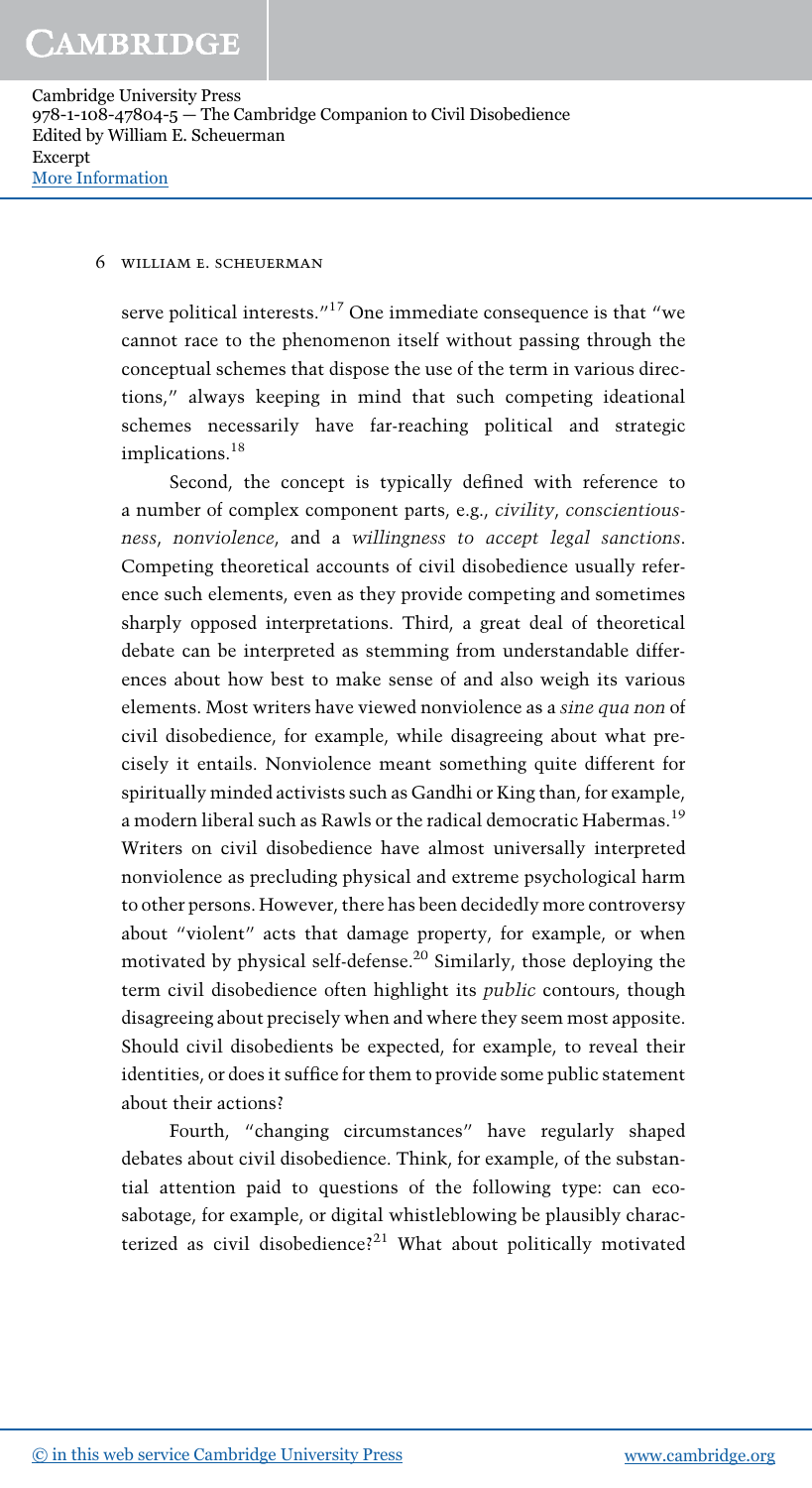#### 6 william e. scheuerman

serve political interests."<sup>17</sup> One immediate consequence is that "we cannot race to the phenomenon itself without passing through the conceptual schemes that dispose the use of the term in various directions," always keeping in mind that such competing ideational schemes necessarily have far-reaching political and strategic implications.<sup>18</sup>

Second, the concept is typically defined with reference to a number of complex component parts, e.g., civility, conscientiousness, nonviolence, and a willingness to accept legal sanctions. Competing theoretical accounts of civil disobedience usually reference such elements, even as they provide competing and sometimes sharply opposed interpretations. Third, a great deal of theoretical debate can be interpreted as stemming from understandable differences about how best to make sense of and also weigh its various elements. Most writers have viewed nonviolence as a sine qua non of civil disobedience, for example, while disagreeing about what precisely it entails. Nonviolence meant something quite different for spiritually minded activists such as Gandhi or King than, for example, a modern liberal such as Rawls or the radical democratic Habermas.<sup>19</sup> Writers on civil disobedience have almost universally interpreted nonviolence as precluding physical and extreme psychological harm to other persons. However, there has been decidedly more controversy about "violent" acts that damage property, for example, or when motivated by physical self-defense.<sup>20</sup> Similarly, those deploying the term civil disobedience often highlight its public contours, though disagreeing about precisely when and where they seem most apposite. Should civil disobedients be expected, for example, to reveal their identities, or does it suffice for them to provide some public statement about their actions?

Fourth, "changing circumstances" have regularly shaped debates about civil disobedience. Think, for example, of the substantial attention paid to questions of the following type: can ecosabotage, for example, or digital whistleblowing be plausibly characterized as civil disobedience?<sup>21</sup> What about politically motivated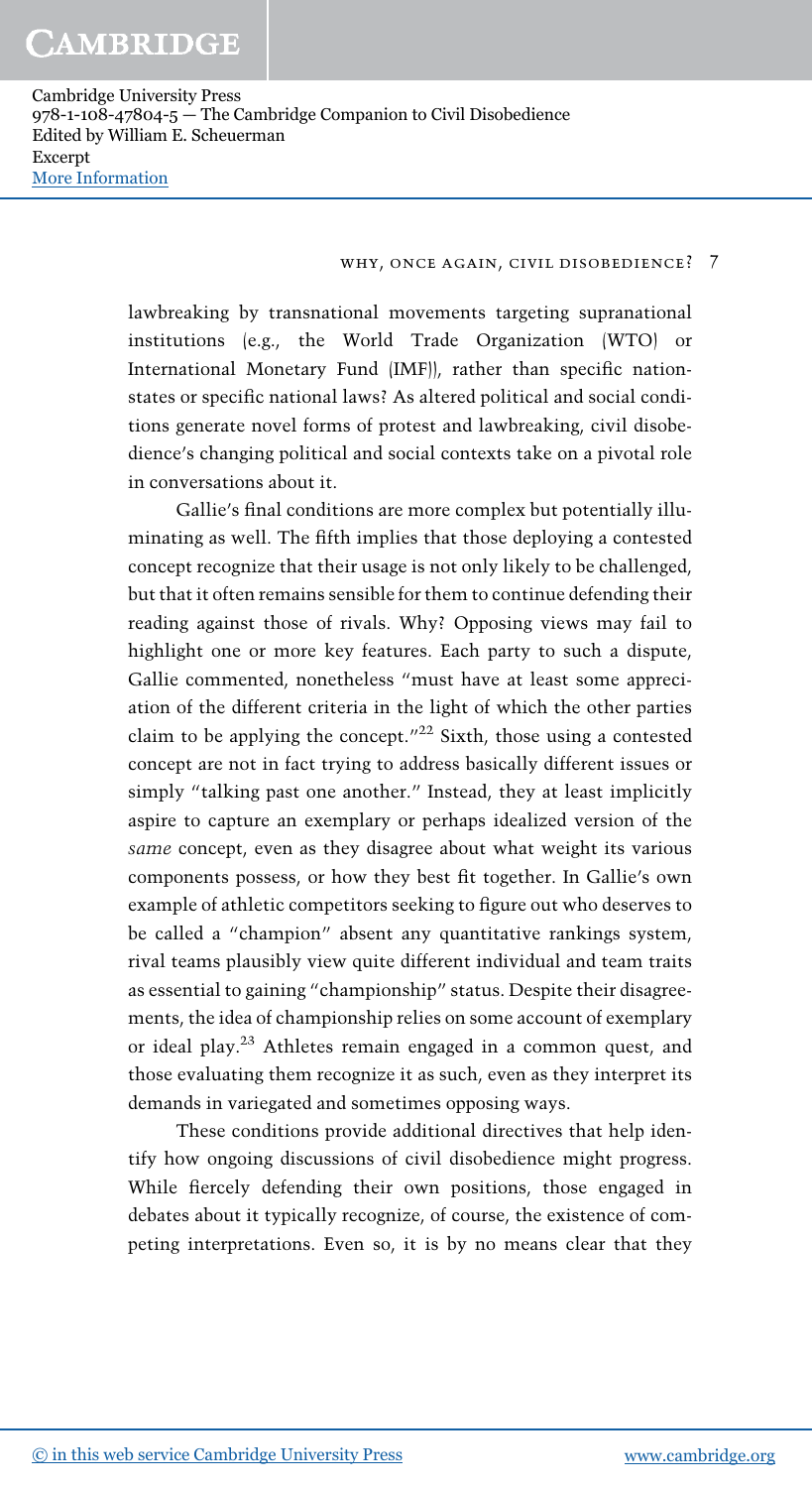#### why, once again, civil disobedience? 7

lawbreaking by transnational movements targeting supranational institutions (e.g., the World Trade Organization (WTO) or International Monetary Fund (IMF)), rather than specific nationstates or specific national laws? As altered political and social conditions generate novel forms of protest and lawbreaking, civil disobedience's changing political and social contexts take on a pivotal role in conversations about it.

Gallie's final conditions are more complex but potentially illuminating as well. The fifth implies that those deploying a contested concept recognize that their usage is not only likely to be challenged, but that it often remains sensible for them to continue defending their reading against those of rivals. Why? Opposing views may fail to highlight one or more key features. Each party to such a dispute, Gallie commented, nonetheless "must have at least some appreciation of the different criteria in the light of which the other parties claim to be applying the concept." $22$  Sixth, those using a contested concept are not in fact trying to address basically different issues or simply "talking past one another." Instead, they at least implicitly aspire to capture an exemplary or perhaps idealized version of the same concept, even as they disagree about what weight its various components possess, or how they best fit together. In Gallie's own example of athletic competitors seeking to figure out who deserves to be called a "champion" absent any quantitative rankings system, rival teams plausibly view quite different individual and team traits as essential to gaining "championship" status. Despite their disagreements, the idea of championship relies on some account of exemplary or ideal play.<sup>23</sup> Athletes remain engaged in a common quest, and those evaluating them recognize it as such, even as they interpret its demands in variegated and sometimes opposing ways.

These conditions provide additional directives that help identify how ongoing discussions of civil disobedience might progress. While fiercely defending their own positions, those engaged in debates about it typically recognize, of course, the existence of competing interpretations. Even so, it is by no means clear that they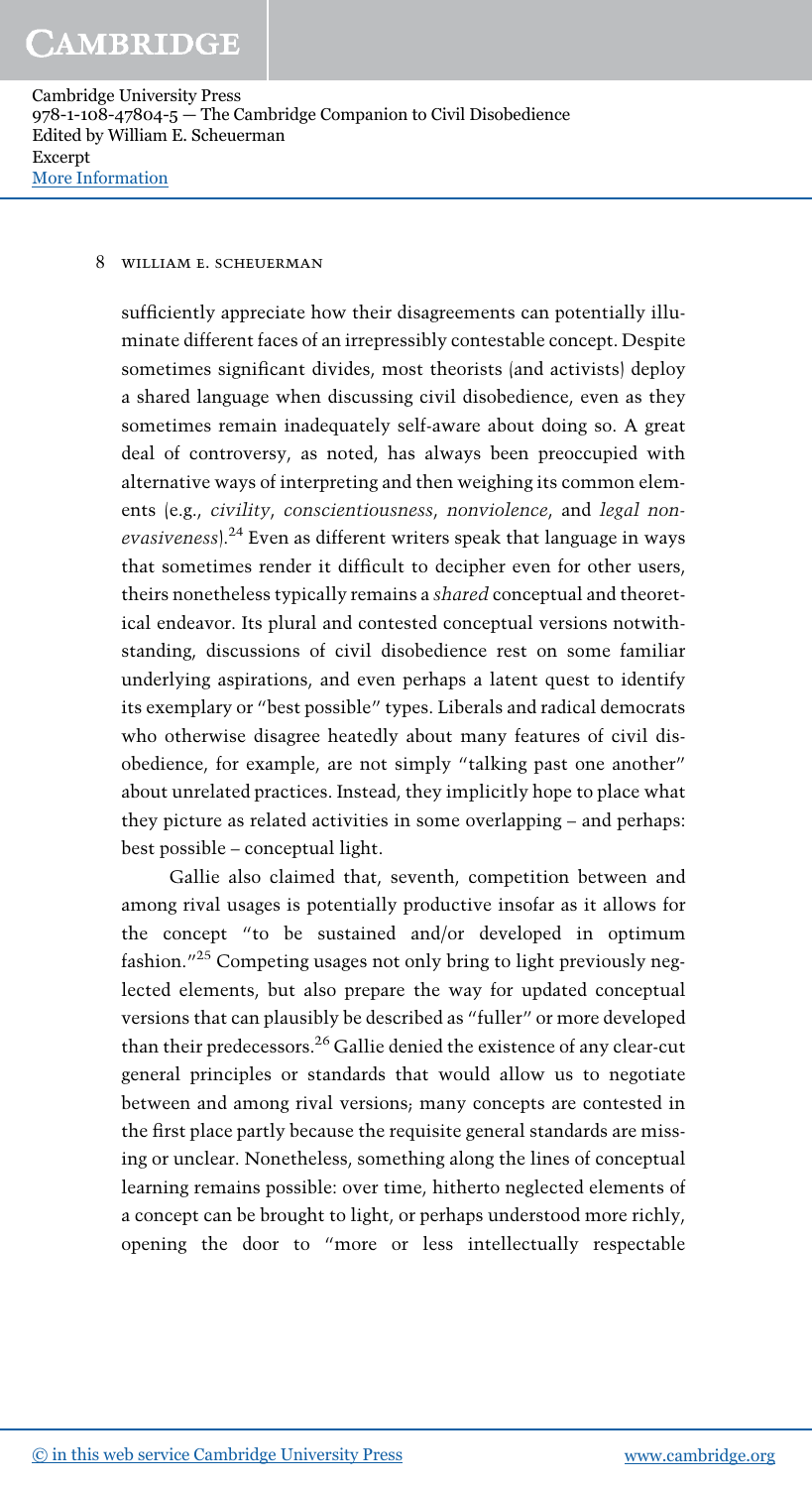#### 8 william e. scheuerman

sufficiently appreciate how their disagreements can potentially illuminate different faces of an irrepressibly contestable concept. Despite sometimes significant divides, most theorists (and activists) deploy a shared language when discussing civil disobedience, even as they sometimes remain inadequately self-aware about doing so. A great deal of controversy, as noted, has always been preoccupied with alternative ways of interpreting and then weighing its common elements (e.g., civility, conscientiousness, nonviolence, and legal nonevasiveness). $^{24}$  Even as different writers speak that language in ways that sometimes render it difficult to decipher even for other users, theirs nonetheless typically remains a shared conceptual and theoretical endeavor. Its plural and contested conceptual versions notwithstanding, discussions of civil disobedience rest on some familiar underlying aspirations, and even perhaps a latent quest to identify its exemplary or "best possible" types. Liberals and radical democrats who otherwise disagree heatedly about many features of civil disobedience, for example, are not simply "talking past one another" about unrelated practices. Instead, they implicitly hope to place what they picture as related activities in some overlapping – and perhaps: best possible – conceptual light.

Gallie also claimed that, seventh, competition between and among rival usages is potentially productive insofar as it allows for the concept "to be sustained and/or developed in optimum fashion." <sup>25</sup> Competing usages not only bring to light previously neglected elements, but also prepare the way for updated conceptual versions that can plausibly be described as "fuller" or more developed than their predecessors.<sup>26</sup> Gallie denied the existence of any clear-cut general principles or standards that would allow us to negotiate between and among rival versions; many concepts are contested in the first place partly because the requisite general standards are missing or unclear. Nonetheless, something along the lines of conceptual learning remains possible: over time, hitherto neglected elements of a concept can be brought to light, or perhaps understood more richly, opening the door to "more or less intellectually respectable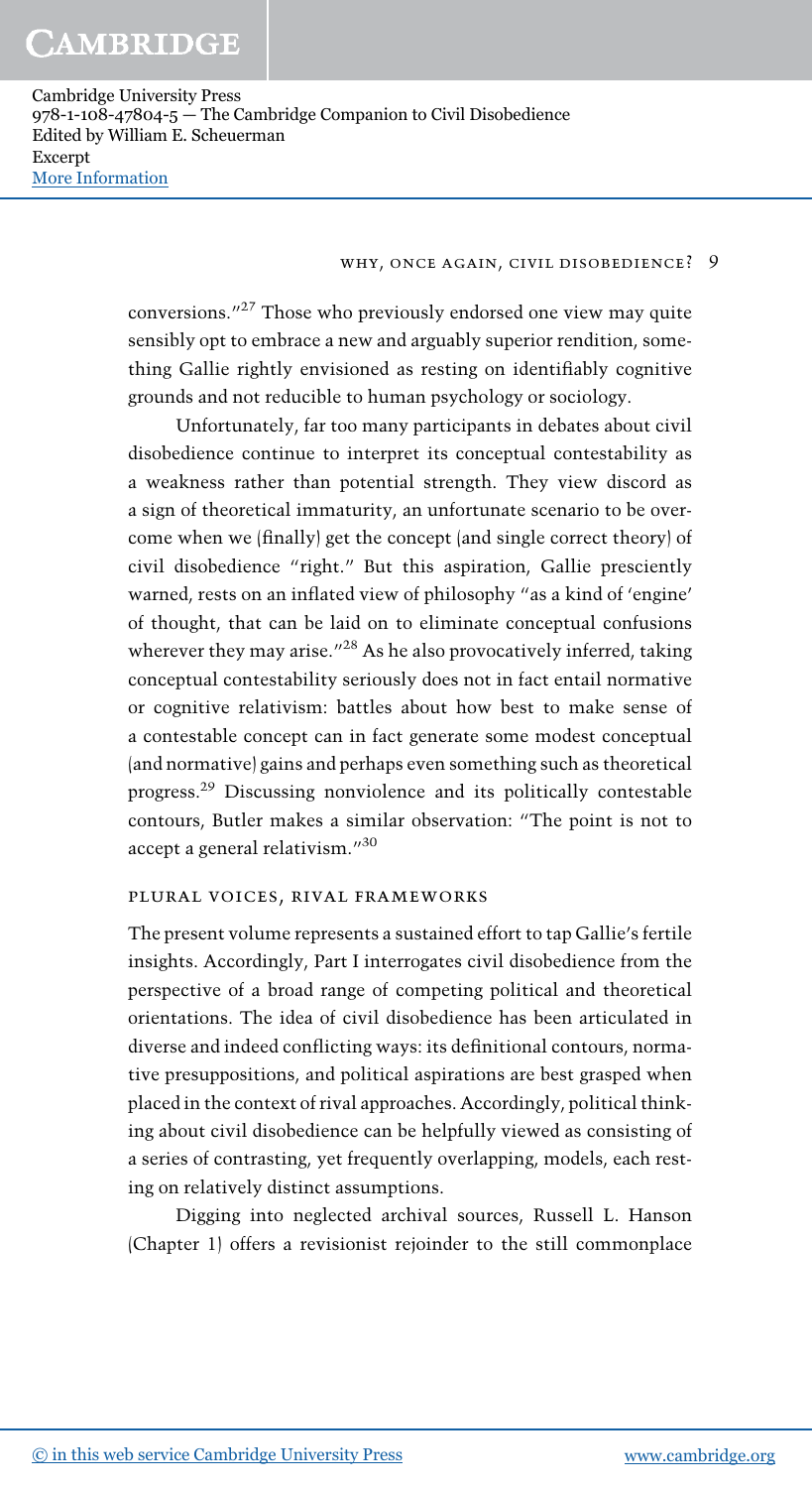#### why, once again, civil disobedience? 9

conversions."<sup>27</sup> Those who previously endorsed one view may quite sensibly opt to embrace a new and arguably superior rendition, something Gallie rightly envisioned as resting on identifiably cognitive grounds and not reducible to human psychology or sociology.

Unfortunately, far too many participants in debates about civil disobedience continue to interpret its conceptual contestability as a weakness rather than potential strength. They view discord as a sign of theoretical immaturity, an unfortunate scenario to be overcome when we (finally) get the concept (and single correct theory) of civil disobedience "right." But this aspiration, Gallie presciently warned, rests on an inflated view of philosophy "as a kind of 'engine' of thought, that can be laid on to eliminate conceptual confusions wherever they may arise."<sup>28</sup> As he also provocatively inferred, taking conceptual contestability seriously does not in fact entail normative or cognitive relativism: battles about how best to make sense of a contestable concept can in fact generate some modest conceptual (and normative) gains and perhaps even something such as theoretical progress.<sup>29</sup> Discussing nonviolence and its politically contestable contours, Butler makes a similar observation: "The point is not to accept a general relativism."<sup>30</sup>

### plural voices, rival frameworks

The present volume represents a sustained effort to tap Gallie's fertile insights. Accordingly, Part I interrogates civil disobedience from the perspective of a broad range of competing political and theoretical orientations. The idea of civil disobedience has been articulated in diverse and indeed conflicting ways: its definitional contours, normative presuppositions, and political aspirations are best grasped when placed in the context of rival approaches. Accordingly, political thinking about civil disobedience can be helpfully viewed as consisting of a series of contrasting, yet frequently overlapping, models, each resting on relatively distinct assumptions.

Digging into neglected archival sources, Russell L. Hanson (Chapter 1) offers a revisionist rejoinder to the still commonplace